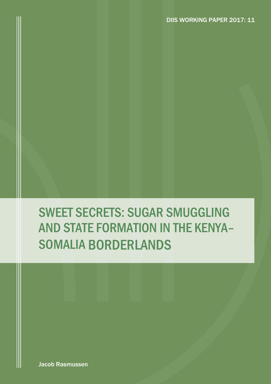# SWEET SECRETS: SUGAR SMUGGLING AND STATE FORMATION IN THE KENYA– SOMALIA BORDERLANDS

Jacob Rasmussen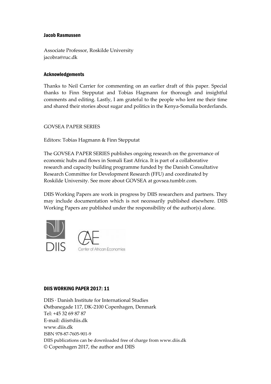#### Jacob Rasmussen

Associate Professor, Roskilde University jacobra@ruc.dk

#### Acknowledgements

Thanks to Neil Carrier for commenting on an earlier draft of this paper. Special thanks to Finn Stepputat and Tobias Hagmann for thorough and insightful comments and editing. Lastly, I am grateful to the people who lent me their time and shared their stories about sugar and politics in the Kenya-Somalia borderlands.

#### GOVSEA PAPER SERIES

Editors: Tobias Hagmann & Finn Stepputat

The GOVSEA PAPER SERIES publishes ongoing research on the governance of economic hubs and flows in Somali East Africa. It is part of a collaborative research and capacity building programme funded by the Danish Consultative Research Committee for Development Research (FFU) and coordinated by Roskilde University. See more about GOVSEA at govsea.tumblr.com.

DIIS Working Papers are work in progress by DIIS researchers and partners. They may include documentation which is not necessarily published elsewhere. DIIS Working Papers are published under the responsibility of the author(s) alone.



#### DIIS WORKING PAPER 2017: 11

DIIS · Danish Institute for International Studies Østbanegade 117, DK-2100 Copenhagen, Denmark Tel: +45 32 69 87 87 E-mail: diis@diis.dk www.diis.dk ISBN 978-87-7605-901-9 DIIS publications can be downloaded free of charge from www.diis.dk © Copenhagen 2017, the author and DIIS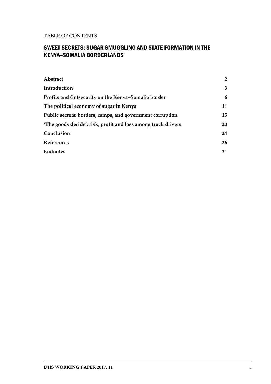#### TABLE OF CONTENTS

#### SWEET SECRETS: SUGAR SMUGGLING AND STATE FORMATION IN THE KENYA–SOMALIA BORDERLANDS

| Abstract                                                      | $\overline{2}$ |
|---------------------------------------------------------------|----------------|
| Introduction                                                  | 3              |
| Profits and (in)security on the Kenya-Somalia border          | 6              |
| The political economy of sugar in Kenya                       | 11             |
| Public secrets: borders, camps, and government corruption     | 15             |
| 'The goods decide': risk, profit and loss among truck drivers | 20             |
| Conclusion                                                    | 24             |
| References                                                    | 26             |
| <b>Endnotes</b>                                               | 31             |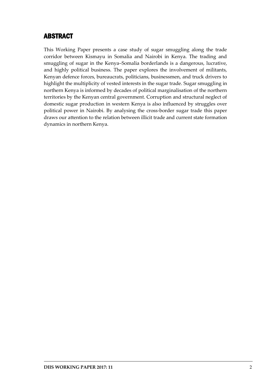# <span id="page-3-0"></span>ABSTRACT

This Working Paper presents a case study of sugar smuggling along the trade corridor between Kismayu in Somalia and Nairobi in Kenya. The trading and smuggling of sugar in the Kenya–Somalia borderlands is a dangerous, lucrative, and highly political business. The paper explores the involvement of militants, Kenyan defence forces, bureaucrats, politicians, businessmen, and truck drivers to highlight the multiplicity of vested interests in the sugar trade. Sugar smuggling in northern Kenya is informed by decades of political marginalisation of the northern territories by the Kenyan central government. Corruption and structural neglect of domestic sugar production in western Kenya is also influenced by struggles over political power in Nairobi. By analysing the cross-border sugar trade this paper draws our attention to the relation between illicit trade and current state formation dynamics in northern Kenya.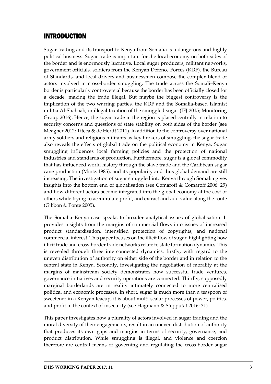# <span id="page-4-0"></span>INTRODUCTION

Sugar trading and its transport to Kenya from Somalia is a dangerous and highly political business. Sugar trade is important for the local economy on both sides of the border and is enormously lucrative. Local sugar producers, militant networks, government officials, soldiers from the Kenyan Defence Forces (KDF), the Bureau of Standards, and local drivers and businessmen compose the complex blend of actors involved in cross-border smuggling. The trade across the Somali–Kenya border is particularly controversial because the border has been officially closed for a decade, making the trade illegal. But maybe the biggest controversy is the implication of the two warring parties, the KDF and the Somalia-based Islamist militia Al-Shabaab, in illegal taxation of the smuggled sugar (JFJ 2015; Monitoring Group 2016). Hence, the sugar trade in the region is placed centrally in relation to security concerns and questions of state stability on both sides of the border (see Meagher 2012; Titeca & de Herdt 2011). In addition to the controversy over national army soldiers and religious militants as key brokers of smuggling, the sugar trade also reveals the effects of global trade on the political economy in Kenya. Sugar smuggling influences local farming policies and the protection of national industries and standards of production. Furthermore, sugar is a global commodity that has influenced world history through the slave trade and the Caribbean sugar cane production (Mintz 1985), and its popularity and thus global demand are still increasing. The investigation of sugar smuggled into Kenya through Somalia gives insights into the bottom end of globalisation (see Comaroff & Comaroff 2006: 29) and how different actors become integrated into the global economy at the cost of others while trying to accumulate profit, and extract and add value along the route (Gibbon & Ponte 2005).

The Somalia–Kenya case speaks to broader analytical issues of globalisation. It provides insights from the margins of commercial flows into issues of increased product standardisation, intensified protection of copyrights, and national commercial interest. This paper focuses on the illicit flow of sugar, highlighting how illicit trade and cross-border trade networks relate to state formation dynamics. This is revealed through three interconnected dynamics: firstly, with regard to the uneven distribution of authority on either side of the border and in relation to the central state in Kenya. Secondly, investigating the negotiation of morality at the margins of mainstream society demonstrates how successful trade ventures, governance initiatives and security operations are connected. Thirdly, supposedly marginal borderlands are in reality intimately connected to more centralised political and economic processes. In short, sugar is much more than a teaspoon of sweetener in a Kenyan teacup, it is about multi-scalar processes of power, politics, and profit in the context of insecurity (see Hagmann & Stepputat 2016: 31).

This paper investigates how a plurality of actors involved in sugar trading and the moral diversity of their engagements, result in an uneven distribution of authority that produces its own gaps and margins in terms of security, governance, and product distribution. While smuggling is illegal, and violence and coercion therefore are central means of governing and regulating the cross-border sugar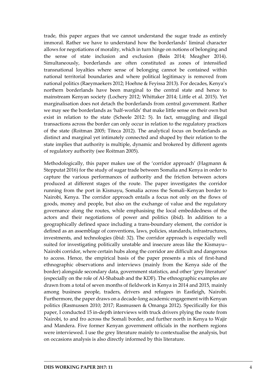trade, this paper argues that we cannot understand the sugar trade as entirely immoral. Rather we have to understand how the borderlands' liminal character allows for negotiations of morality, which in turn hinge on notions of belonging and the sense of state inclusion and exclusion (Bøås 2014; Meagher 2014). Simultaneously, borderlands are often constituted as zones of intensified transnational loyalties where sense of belonging cannot be contained within national territorial boundaries and where political legitimacy is removed from national politics (Raeymaekers 2012; Hoehne & Feyissa 2013). For decades, Kenya's northern borderlands have been marginal to the central state and hence to mainstream Kenyan society (Lochery 2012; Whittaker 2014; Little et al. 2015). Yet marginalisation does not detach the borderlands from central government. Rather we may see the borderlands as 'half-worlds' that make little sense on their own but exist in relation to the state (Scheele 2012: 5). In fact, smuggling and illegal transactions across the border can only occur in relation to the regulatory practices of the state (Roitman 2005; Titeca 2012). The analytical focus on borderlands as distinct and marginal yet intimately connected and shaped by their relation to the state implies that authority is multiple, dynamic and brokered by different agents of regulatory authority (see Roitman 2005).

Methodologically, this paper makes use of the 'corridor approach' (Hagmann & Stepputat 2016) for the study of sugar trade between Somalia and Kenya in order to capture the various performances of authority and the friction between actors produced at different stages of the route. The paper investigates the corridor running from the port in Kismayu, Somalia across the Somali–Kenyan border to Nairobi, Kenya. The corridor approach entails a focus not only on the flows of goods, money and people, but also on the exchange of value and the regulatory governance along the routes, while emphasising the local embeddedness of the actors and their negotiations of power and politics (ibid). In addition to a geographically defined space including a trans-boundary element, the corridor is defined as an assemblage of conventions, laws, policies, standards, infrastructures, investments, and technologies (ibid: 32). The corridor approach is especially well suited for investigating politically unstable and insecure areas like the Kismayu– Nairobi corridor, where certain hubs along the corridor are difficult and dangerous to access. Hence, the empirical basis of the paper presents a mix of first-hand ethnographic observations and interviews (mainly from the Kenya side of the border) alongside secondary data, government statistics, and other 'grey literature' (especially on the role of Al-Shabaab and the KDF). The ethnographic examples are drawn from a total of seven months of fieldwork in Kenya in 2014 and 2015, mainly among business people, traders, drivers and refugees in Eastleigh, Nairobi. Furthermore, the paper draws on a decade-long academic engagement with Kenyan politics (Rasmussen 2010; 2017; Rasmussen & Omanga 2012). Specifically for this paper, I conducted 15 in-depth interviews with truck drivers plying the route from Nairobi, to and fro across the Somali border, and further north in Kenya to Wajir and Mandera. Five former Kenyan government officials in the northern regions were interviewed. I use the grey literature mainly to contextualise the analysis, but on occasions analysis is also directly informed by this literature.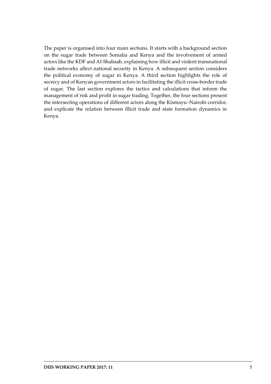The paper is organised into four main sections. It starts with a background section on the sugar trade between Somalia and Kenya and the involvement of armed actors like the KDF and Al-Shabaab, explaining how illicit and violent transnational trade networks affect national security in Kenya. A subsequent section considers the political economy of sugar in Kenya. A third section highlights the role of secrecy and of Kenyan government actors in facilitating the illicit cross-border trade of sugar. The last section explores the tactics and calculations that inform the management of risk and profit in sugar trading. Together, the four sections present the intersecting operations of different actors along the Kismayu–Nairobi corridor, and explicate the relation between illicit trade and state formation dynamics in Kenya.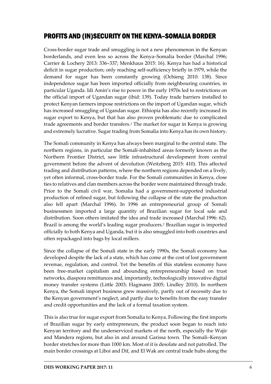## <span id="page-7-0"></span>PROFITS AND (IN)SECURITY ON THE KENYA–SOMALIA BORDER

Cross-border sugar trade and smuggling is not a new phenomenon in the Kenyan borderlands, and even less so across the Kenya–Somalia border (Marchal 1996; Carrier & Lochery 2013: 336–337; Menkhaus 2015: 16). Kenya has had a historical deficit in sugar production; only reaching self-sufficiency briefly in 1979, while the demand for sugar has been constantly growing (Ochieng 2010: 138). Since independence sugar has been imported officially from neighbouring countries, in particular Uganda. Idi Amin's rise to power in the early 1970s led to restrictions on the official import of Ugandan sugar (ibid: 139). Today trade barriers installed to protect Kenyan farmers impose restrictions on the import of Ugandan sugar, which has increased smuggling of Ugandan sugar. Ethiopia has also recently increased its sugar export to Kenya, but that has also proven problematic due to complicated trade agreements and border transfers.*<sup>1</sup>* The market for sugar in Kenya is growing and extremely lucrative. Sugar trading from Somalia into Kenya has its own history.

The Somali community in Kenya has always been marginal to the central state. The northern regions, in particular the Somali-inhabited areas formerly known as the Northern Frontier District, saw little infrastructural development from central government before the advent of devolution (Weitzberg 2015: 410). This affected trading and distribution patterns, where the northern regions depended on a lively, yet often informal, cross-border trade. For the Somali communities in Kenya, close ties to relatives and clan members across the border were maintained through trade. Prior to the Somali civil war, Somalia had a government-supported industrial production of refined sugar, but following the collapse of the state the production also fell apart (Marchal 1996). In 1996 an entrepreneurial group of Somali businessmen imported a large quantity of Brazilian sugar for local sale and distribution. Soon others imitated the idea and trade increased (Marchal 1996: 62). Brazil is among the world's leading sugar producers.*<sup>2</sup>* Brazilian sugar is imported officially to both Kenya and Uganda, but it is also smuggled into both countries and often repackaged into bags by local millers.

Since the collapse of the Somali state in the early 1990s, the Somali economy has developed despite the lack of a state, which has come at the cost of lost government revenue, regulation, and control. Yet the benefits of this stateless economy have been free-market capitalism and abounding entrepreneurship based on trust networks, diaspora remittances and, importantly, technologically innovative digital money transfer systems (Little 2003; Hagmann 2005; Lindley 2010). In northern Kenya, the Somali import business grew massively, partly out of necessity due to the Kenyan government's neglect, and partly due to benefits from the easy transfer and credit opportunities and the lack of a formal taxation system.

This is also true for sugar export from Somalia to Kenya. Following the first imports of Brazilian sugar by early entrepreneurs, the product soon began to reach into Kenyan territory and the underserviced markets of the north, especially the Wajir and Mandera regions, but also in and around Garissa town. The Somali–Kenyan border stretches for more than 1000 km. Most of it is desolate and not patrolled. The main border crossings at Liboi and Dif, and El Wak are central trade hubs along the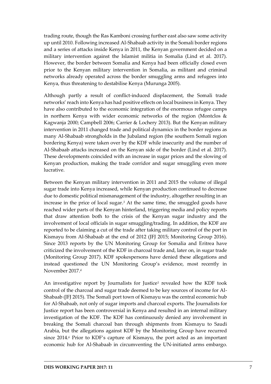trading route, though the Ras Kamboni crossing further east also saw some activity up until 2010. Following increased Al-Shabaab activity in the Somali border regions and a series of attacks inside Kenya in 2011, the Kenyan government decided on a military intervention against the Islamist militia in Somalia (Lind et al. 2017). However, the border between Somalia and Kenya had been officially closed even prior to the Kenyan military intervention in Somalia, as militant and criminal networks already operated across the border smuggling arms and refugees into Kenya, thus threatening to destabilise Kenya (Murunga 2005).

Although partly a result of conflict-induced displacement, the Somali trade networks' reach into Kenya has had positive effects on local business in Kenya. They have also contributed to the economic integration of the enormous refugee camps in northern Kenya with wider economic networks of the region (Montclos & Kagwanja 2000; Campbell 2006; Carrier & Lochery 2013). But the Kenyan military intervention in 2011 changed trade and political dynamics in the border regions as many Al-Shabaab strongholds in the Jubaland region (the southern Somali region bordering Kenya) were taken over by the KDF while insecurity and the number of Al-Shabaab attacks increased on the Kenyan side of the border (Lind et al. 2017). These developments coincided with an increase in sugar prices and the slowing of Kenyan production, making the trade corridor and sugar smuggling even more lucrative.

Between the Kenyan military intervention in 2011 and 2015 the volume of illegal sugar trade into Kenya increased, while Kenyan production continued to decrease due to domestic political mismanagement of the industry, altogether resulting in an increase in the price of local sugar.*<sup>3</sup>* At the same time, the smuggled goods have reached wider parts of the Kenyan hinterland, triggering media and policy reports that draw attention both to the crisis of the Kenyan sugar industry and the involvement of local officials in sugar smuggling/trading. In addition, the KDF are reported to be claiming a cut of the trade after taking military control of the port in Kismayu from Al-Shabaab at the end of 2012 (JFJ 2015; Monitoring Group 2016). Since 2013 reports by the UN Monitoring Group for Somalia and Eritrea have criticized the involvement of the KDF in charcoal trade and, later on, in sugar trade (Monitoring Group 2017). KDF spokespersons have denied these allegations and instead questioned the UN Monitoring Group's evidence, most recently in November 2017.*<sup>4</sup>*

An investigative report by Journalists for Justice*<sup>5</sup>* revealed how the KDF took control of the charcoal and sugar trade deemed to be key sources of income for Al-Shabaab (JFJ 2015). The Somali port town of Kismayu was the central economic hub for Al-Shabaab, not only of sugar imports and charcoal exports. The Journalists for Justice report has been controversial in Kenya and resulted in an internal military investigation of the KDF. The KDF has continuously denied any involvement in breaking the Somali charcoal ban through shipments from Kismayu to Saudi Arabia, but the allegations against KDF by the Monitoring Group have recurred since 2014.*<sup>6</sup>* Prior to KDF's capture of Kismayu, the port acted as an important economic hub for Al-Shabaab in circumventing the UN-initiated arms embargo.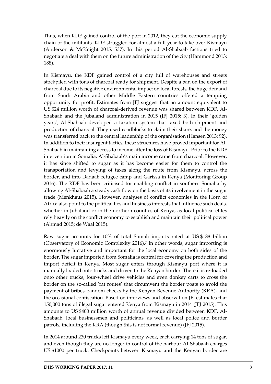Thus, when KDF gained control of the port in 2012, they cut the economic supply chain of the militants. KDF struggled for almost a full year to take over Kismayu (Anderson & McKnight 2015: 537). In this period Al-Shabaab factions tried to negotiate a deal with them on the future administration of the city (Hammond 2013: 188).

In Kismayu, the KDF gained control of a city full of warehouses and streets stockpiled with tons of charcoal ready for shipment. Despite a ban on the export of charcoal due to its negative environmental impact on local forests, the huge demand from Saudi Arabia and other Middle Eastern countries offered a tempting opportunity for profit. Estimates from JFJ suggest that an amount equivalent to US \$24 million worth of charcoal-derived revenue was shared between KDF, Al-Shabaab and the Jubaland administration in 2015 (JFJ 2015: 3). In their 'golden years', Al-Shabaab developed a taxation system that taxed both shipment and production of charcoal. They used roadblocks to claim their share, and the money was transferred back to the central leadership of the organisation (Hansen 2013: 92). In addition to their insurgent tactics, these structures have proved important for Al-Shabaab in maintaining access to income after the loss of Kismayu. Prior to the KDF intervention in Somalia, Al-Shabaab's main income came from charcoal. However, it has since shifted to sugar as it has become easier for them to control the transportation and levying of taxes along the route from Kismayu, across the border, and into Dadaab refugee camp and Garissa in Kenya (Monitoring Group 2016). The KDF has been criticised for enabling conflict in southern Somalia by allowing Al-Shabaab a steady cash flow on the basis of its involvement in the sugar trade (Menkhaus 2015). However, analyses of conflict economies in the Horn of Africa also point to the political ties and business interests that influence such deals, whether in Jubaland or in the northern counties of Kenya, as local political elites rely heavily on the conflict economy to establish and maintain their political power (Ahmad 2015; de Waal 2015).

Raw sugar accounts for 10% of total Somali imports rated at US \$188 billion (Observatory of Economic Complexity 2016).*<sup>7</sup>* In other words, sugar importing is enormously lucrative and important for the local economy on both sides of the border. The sugar imported from Somalia is central for covering the production and import deficit in Kenya. Most sugar enters through Kismayu port where it is manually loaded onto trucks and driven to the Kenyan border. There it is re-loaded onto other trucks, four-wheel drive vehicles and even donkey carts to cross the border on the so-called 'rat routes' that circumvent the border posts to avoid the payment of bribes, random checks by the Kenyan Revenue Authority (KRA), and the occasional confiscation. Based on interviews and observation JFJ estimates that 150,000 tons of illegal sugar entered Kenya from Kismayu in 2014 (JFJ 2015). This amounts to US \$400 million worth of annual revenue divided between KDF, Al-Shabaab, local businessmen and politicians, as well as local police and border patrols, including the KRA (though this is not formal revenue) (JFJ 2015).

In 2014 around 230 trucks left Kismayu every week, each carrying 14 tons of sugar, and even though they are no longer in control of the harbour Al-Shabaab charges US \$1000 per truck. Checkpoints between Kismayu and the Kenyan border are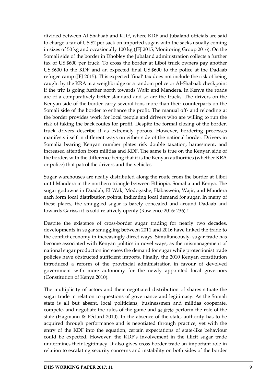divided between Al-Shabaab and KDF, where KDF and Jubaland officials are said to charge a tax of US \$2 per sack on imported sugar, with the sacks usually coming in sizes of 50 kg and occasionally 100 kg (JFJ 2015; Monitoring Group 2016). On the Somali side of the border in Dhobley the Jubaland administration collects a further tax of US \$600 per truck. To cross the border at Liboi truck owners pay another US \$600 to the KDF and an expected final US \$600 to the police at the Dadaab refugee camp (JFJ 2015). This expected 'final' tax does not include the risk of being caught by the KRA at a weighbridge or a random police or Al-Shabaab checkpoint if the trip is going further north towards Wajir and Mandera. In Kenya the roads are of a comparatively better standard and so are the trucks. The drivers on the Kenyan side of the border carry several tons more than their counterparts on the Somali side of the border to enhance the profit. The manual off- and reloading at the border provides work for local people and drivers who are willing to run the risk of taking the back routes for profit. Despite the formal closing of the border, truck drivers describe it as extremely porous. However, bordering processes manifests itself in different ways on either side of the national border. Drivers in Somalia bearing Kenyan number plates risk double taxation, harassment, and increased attention from militias and KDF. The same is true on the Kenyan side of the border, with the difference being that it is the Kenyan authorities (whether KRA or police) that patrol the drivers and the vehicles.

Sugar warehouses are neatly distributed along the route from the border at Liboi until Mandera in the northern triangle between Ethiopia, Somalia and Kenya. The sugar godowns in Daadab, El Wak, Modogashe, Habaswein, Wajir, and Mandera each form local distribution points, indicating local demand for sugar. In many of these places, the smuggled sugar is barely concealed and around Dadaab and towards Garissa it is sold relatively openly (Rawlence 2016: 236).*<sup>8</sup>*

Despite the existence of cross-border sugar trading for nearly two decades, developments in sugar smuggling between 2011 and 2016 have linked the trade to the conflict economy in increasingly direct ways. Simultaneously, sugar trade has become associated with Kenyan politics in novel ways, as the mismanagement of national sugar production increases the demand for sugar while protectionist trade policies have obstructed sufficient imports. Finally, the 2010 Kenyan constitution introduced a reform of the provincial administration in favour of devolved government with more autonomy for the newly appointed local governors (Constitution of Kenya 2010).

The multiplicity of actors and their negotiated distribution of shares situate the sugar trade in relation to questions of governance and legitimacy. As the Somali state is all but absent, local politicians, businessmen and militias cooperate, compete, and negotiate the rules of the game and *de facto* perform the role of the state (Hagmann & Péclard 2010). In the absence of the state, authority has to be acquired through performance and is negotiated through practice, yet with the entry of the KDF into the equation, certain expectations of state-like behaviour could be expected. However, the KDF's involvement in the illicit sugar trade undermines their legitimacy. It also gives cross-border trade an important role in relation to escalating security concerns and instability on both sides of the border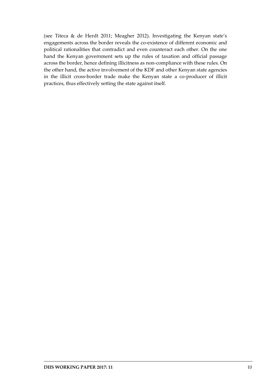(see Titeca & de Herdt 2011; Meagher 2012). Investigating the Kenyan state's engagements across the border reveals the co-existence of different economic and political rationalities that contradict and even counteract each other. On the one hand the Kenyan government sets up the rules of taxation and official passage across the border, hence defining illicitness as non-compliance with these rules. On the other hand, the active involvement of the KDF and other Kenyan state agencies in the illicit cross-border trade make the Kenyan state a co-producer of illicit practices, thus effectively setting the state against itself.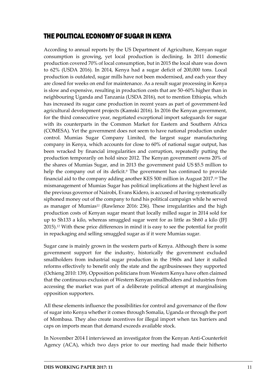## <span id="page-12-0"></span>THE POLITICAL ECONOMY OF SUGAR IN KENYA

According to annual reports by the US Department of Agriculture, Kenyan sugar consumption is growing, yet local production is declining. In 2011 domestic production covered 70% of local consumption, but in 2015 the local share was down to 62% (USDA 2016). In 2014, Kenya had a sugar deficit of 200,000 tons. Local production is outdated, sugar mills have not been modernised, and each year they are closed for weeks on end for maintenance. As a result sugar processing in Kenya is slow and expensive, resulting in production costs that are 50–60% higher than in neighbouring Uganda and Tanzania (USDA 2016), not to mention Ethiopia, which has increased its sugar cane production in recent years as part of government-led agricultural development projects (Kamski 2016). In 2016 the Kenyan government, for the third consecutive year, negotiated exceptional import safeguards for sugar with its counterparts in the Common Market for Eastern and Southern Africa (COMESA). Yet the government does not seem to have national production under control. Mumias Sugar Company Limited, the largest [sugar](https://en.wikipedia.org/wiki/Sugar) manufacturing company in [Kenya,](https://en.wikipedia.org/wiki/Kenya) which accounts for close to 60% of national sugar output, has been wracked by financial irregularities and corruption, repeatedly putting the production temporarily on hold since 2012. The Kenyan government owns 20% of the shares of Mumias Sugar, and in 2013 the government paid US \$5.5 million to help the company out of its deficit.*<sup>9</sup>* The government has continued to provide financial aid to the company adding another KES 500 million in August 2017.*<sup>10</sup>* The mismanagement of Mumias Sugar has political implications at the highest level as the previous governor of Nairobi, Evans Kidero, is accused of having systematically siphoned money out of the company to fund his political campaign while he served as manager of Mumias*<sup>11</sup>* (Rawlence 2016: 236). These irregularities and the high production costs of Kenyan sugar meant that locally milled sugar in 2014 sold for up to Sh133 a kilo, whereas smuggled sugar went for as little as Sh60 a kilo (JFJ 2015).*<sup>12</sup>* With these price differences in mind it is easy to see the potential for profit in repackaging and selling smuggled sugar as if it were Mumias sugar.

Sugar cane is mainly grown in the western parts of Kenya. Although there is some government support for the industry, historically the government excluded smallholders from industrial sugar production in the 1960s and later it stalled reforms effectively to benefit only the state and the agribusinesses they supported (Ochieng 2010: 139). Opposition politicians from Western Kenya have often claimed that the continuous exclusion of Western Kenyan smallholders and industries from accessing the market was part of a deliberate political attempt at marginalising opposition supporters.

All these elements influence the possibilities for control and governance of the flow of sugar into Kenya whether it comes through Somalia, Uganda or through the port of Mombasa. They also create incentives for illegal import when tax barriers and caps on imports mean that demand exceeds available stock.

In November 2014 I interviewed an investigator from the Kenyan Anti-Counterfeit Agency (ACA), which two days prior to our meeting had made their hitherto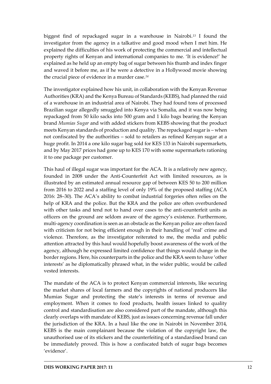biggest find of repackaged sugar in a warehouse in Nairobi.*<sup>13</sup>* I found the investigator from the agency in a talkative and good mood when I met him. He explained the difficulties of his work of protecting the commercial and intellectual property rights of Kenyan and international companies to me. 'It is evidence!' he explained as he held up an empty bag of sugar between his thumb and index finger and waved it before me, as if he were a detective in a Hollywood movie showing the crucial piece of evidence in a murder case.*<sup>14</sup>*

The investigator explained how his unit, in collaboration with the Kenyan Revenue Authorities (KRA) and the Kenya Bureau of Standards (KEBS), had planned the raid of a warehouse in an industrial area of Nairobi. They had found tons of processed Brazilian sugar allegedly smuggled into Kenya via Somalia, and it was now being repackaged from 50 kilo sacks into 500 gram and 1 kilo bags bearing the Kenyan brand *Mumias Sugar* and with added stickers from KEBS showing that the product meets Kenyan standards of production and quality. The repackaged sugar is – when not confiscated by the authorities – sold to retailers as refined Kenyan sugar at a huge profit. In 2014 a one kilo sugar bag sold for KES 133 in Nairobi supermarkets, and by May 2017 prices had gone up to KES 170 with some supermarkets rationing it to one package per customer.

This haul of illegal sugar was important for the ACA. It is a relatively new agency, founded in 2008 under the Anti-Counterfeit Act with limited resources, as is illustrated by an estimated annual resource gap of between KES 50 to 200 million from 2016 to 2022 and a staffing level of only 19% of the proposed staffing (ACA 2016: 28–30). The ACA's ability to combat industrial forgeries often relies on the help of KRA and the police. But the KRA and the police are often overburdened with other tasks and tend not to hand over cases to the anti-counterfeit units as officers on the ground are seldom aware of the agency's existence. Furthermore, multi-agency coordination is seen as an obstacle as the Kenyan police are often faced with criticism for not being efficient enough in their handling of 'real' crime and violence. Therefore, as the investigator reiterated to me, the media and public attention attracted by this haul would hopefully boost awareness of the work of the agency, although he expressed limited confidence that things would change in the border regions. Here, his counterparts in the police and the KRA seem to have 'other interests' as he diplomatically phrased what, in the wider public, would be called vested interests.

The mandate of the ACA is to protect Kenyan commercial interests, like securing the market shares of local farmers and the copyrights of national producers like Mumias Sugar and protecting the state's interests in terms of revenue and employment. When it comes to food products, health issues linked to quality control and standardisation are also considered part of the mandate, although this clearly overlaps with mandate of KEBS, just as issues concerning revenue fall under the jurisdiction of the KRA. In a haul like the one in Nairobi in November 2014, KEBS is the main complainant because the violation of the copyright law, the unauthorised use of its stickers and the counterfeiting of a standardised brand can be immediately proved. This is how a confiscated batch of sugar bags becomes 'evidence'.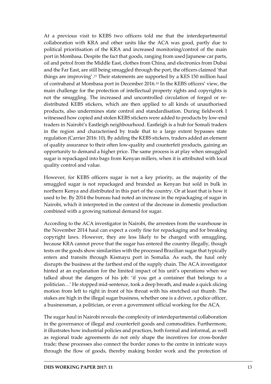At a previous visit to KEBS two officers told me that the interdepartmental collaboration with KRA and other units like the ACA was good, partly due to political prioritisation of the KRA and increased monitoring/control of the main port in Mombasa. Despite the fact that goods, ranging from used Japanese car parts, oil and petrol from the Middle East, clothes from China, and electronics from Dubai and the Far East, are still being smuggled through the port, the officers claimed 'that things are improving'. *<sup>15</sup>* Their statements are supported by a KES 150 million haul of contraband at Mombasa port in December 2016.*<sup>16</sup>* In the KEBS officers' view, the main challenge for the protection of intellectual property rights and copyrights is not the smuggling. The increased and uncontrolled circulation of forged or redistributed KEBS stickers, which are then applied to all kinds of unauthorised products, also undermines state control and standardisation. During fieldwork I witnessed how copied and stolen KEBS stickers were added to products by low-end traders in Nairobi's Eastleigh neighbourhood. Eastleigh is a hub for Somali traders in the region and characterised by trade that to a large extent bypasses state regulation (Carrier 2016: 10). By adding the KEBS stickers, traders added an element of quality assurance to their often low-quality and counterfeit products, gaining an opportunity to demand a higher price. The same process is at play when smuggled sugar is repackaged into bags from Kenyan millers, when it is attributed with local quality control and value.

However, for KEBS officers sugar is not a key priority, as the majority of the smuggled sugar is not repackaged and branded as Kenyan but sold in bulk in northern Kenya and distributed in this part of the country. Or at least that is how it used to be. By 2014 the bureau had noted an increase in the repackaging of sugar in Nairobi, which it interpreted in the context of the decrease in domestic production combined with a growing national demand for sugar.

According to the ACA investigator in Nairobi, the arrestees from the warehouse in the November 2014 haul can expect a costly fine for repackaging and for breaking copyright laws. However, they are less likely to be charged with smuggling, because KRA cannot prove that the sugar has entered the country illegally, though tests on the goods show similarities with the processed Brazilian sugar that typically enters and transits through Kismayu port in Somalia. As such, the haul only disrupts the business at the farthest end of the supply chain. The ACA investigator hinted at an explanation for the limited impact of his unit's operations when we talked about the dangers of his job: 'if you get a container that belongs to a politician…' He stopped mid-sentence, took a deep breath, and made a quick slicing motion from left to right in front of his throat with his stretched out thumb. The stakes are high in the illegal sugar business, whether one is a driver, a police officer, a businessman, a politician, or even a government official working for the ACA.

The sugar haul in Nairobi reveals the complexity of interdepartmental collaboration in the governance of illegal and counterfeit goods and commodities. Furthermore, it illustrates how industrial policies and practices, both formal and informal, as well as regional trade agreements do not only shape the incentives for cross-border trade; these processes also connect the border zones to the centre in intricate ways through the flow of goods, thereby making border work and the protection of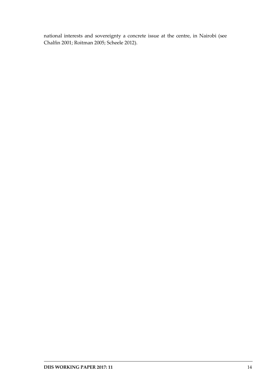national interests and sovereignty a concrete issue at the centre, in Nairobi (see Chalfin 2001; Roitman 2005; Scheele 2012).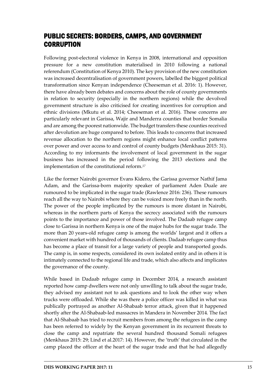## <span id="page-16-0"></span>PUBLIC SECRETS: BORDERS, CAMPS, AND GOVERNMENT **CORRUPTION**

Following post-electoral violence in Kenya in 2008, international and opposition pressure for a new constitution materialised in 2010 following a national referendum (Constitution of Kenya 2010). The key provision of the new constitution was increased decentralisation of government powers, labelled the biggest political transformation since Kenyan independence (Cheeseman et al. 2016: 1). However, there have already been debates and concerns about the role of county governments in relation to security (especially in the northern regions) while the devolved government structure is also criticised for creating incentives for corruption and ethnic divisions (Mkutu et al. 2014; Cheeseman et al. 2016). These concerns are particularly relevant in Garissa, Wajir and Manderra counties that border Somalia and are among the poorest nationwide. The budget transfers these counties received after devolution are huge compared to before. This leads to concerns that increased revenue allocation to the northern regions might enhance local conflict patterns over power and over access to and control of county budgets (Menkhaus 2015: 31). According to my informants the involvement of local government in the sugar business has increased in the period following the 2013 elections and the implementation of the constitutional reform.*<sup>17</sup>*

Like the former Nairobi governor Evans Kidero, the Garissa governor Nathif Jama Adam, and the Garissa-born majority speaker of parliament Aden Duale are rumoured to be implicated in the sugar trade (Rawlence 2016: 236). These rumours reach all the way to Nairobi where they can be voiced more freely than in the north. The power of the people implicated by the rumours is more distant in Nairobi, whereas in the northern parts of Kenya the secrecy associated with the rumours points to the importance and power of those involved. The Dadaab refugee camp close to Garissa in northern Kenya is one of the major hubs for the sugar trade. The more than 20 years-old refugee camp is among the worlds' largest and it offers a convenient market with hundred of thousands of clients. Dadaab refugee camp thus has become a place of transit for a large variety of people and transported goods. The camp is, in some respects, considered its own isolated entity and in others it is intimately connected to the regional life and trade, which also affects and implicates the governance of the county.

While based in Dadaab refugee camp in December 2014, a research assistant reported how camp dwellers were not only unwilling to talk about the sugar trade, they advised my assistant not to ask questions and to look the other way when trucks were offloaded. While she was there a police officer was killed in what was publically portrayed as another Al-Shabaab terror attack, given that it happened shortly after the Al-Shabaab-led massacres in Mandera in November 2014. The fact that Al-Shabaab has tried to recruit members from among the refugees in the camp has been referred to widely by the Kenyan government in its recurrent threats to close the camp and repatriate the several hundred thousand Somali refugees (Menkhaus 2015: 29; Lind et al.2017: 14). However, the 'truth' that circulated in the camp placed the officer at the heart of the sugar trade and that he had allegedly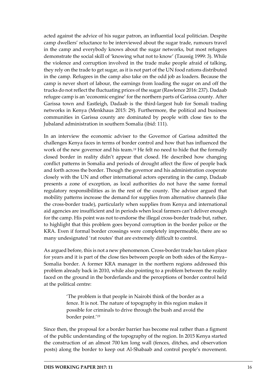acted against the advice of his sugar patron, an influential local politician. Despite camp dwellers' reluctance to be interviewed about the sugar trade, rumours travel in the camp and everybody knows about the sugar networks, but most refugees demonstrate the social skill of 'knowing what not to know' (Taussig 1999: 3). While the violence and corruption involved in the trade make people afraid of talking, they rely on the trade to get sugar, as it is not part of the UN food rations distributed in the camp. Refugees in the camp also take on the odd job as loaders. Because the camp is never short of labour, the earnings from loading the sugar on and off the trucks do not reflect the fluctuating prices of the sugar (Rawlence 2016: 237). Dadaab refugee camp is an 'economic engine' for the northern parts of Garissa county. After Garissa town and Eastleigh, Dadaab is the third-largest hub for Somali trading networks in Kenya (Menkhaus 2015: 29). Furthermore, the political and business communities in Garissa county are dominated by people with close ties to the Jubaland administration in southern Somalia (ibid: 111).

In an interview the economic adviser to the Governor of Garissa admitted the challenges Kenya faces in terms of border control and how that has influenced the work of the new governor and his team.*<sup>18</sup>* He felt no need to hide that the formally closed border in reality didn't appear that closed. He described how changing conflict patterns in Somalia and periods of drought affect the flow of people back and forth across the border. Though the governor and his administration cooperate closely with the UN and other international actors operating in the camp, Dadaab presents a zone of exception, as local authorities do not have the same formal regulatory responsibilities as in the rest of the county. The advisor argued that mobility patterns increase the demand for supplies from alternative channels (like the cross-border trade), particularly when supplies from Kenya and international aid agencies are insufficient and in periods when local farmers can't deliver enough for the camp. His point was not to endorse the illegal cross-border trade but, rather, to highlight that this problem goes beyond corruption in the border police or the KRA. Even if formal border crossings were completely impermeable, there are so many undesignated 'rat routes' that are extremely difficult to control.

As argued before, this is not a new phenomenon. Cross-border trade has taken place for years and it is part of the close ties between people on both sides of the Kenya– Somalia border. A former KRA manager in the northern regions addressed this problem already back in 2010, while also pointing to a problem between the reality faced on the ground in the borderlands and the perceptions of border control held at the political centre:

> 'The problem is that people in Nairobi think of the border as a fence. It is not. The nature of topography in this region makes it possible for criminals to drive through the bush and avoid the border point.'*<sup>19</sup>*

Since then, the proposal for a border barrier has become real rather than a figment of the public understanding of the topography of the region. In 2015 Kenya started the construction of an almost 700 km long wall (fences, ditches, and observation posts) along the border to keep out Al-Shabaab and control people's movement.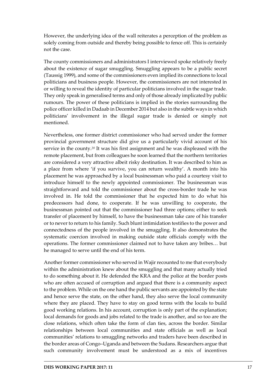However, the underlying idea of the wall reiterates a perception of the problem as solely coming from outside and thereby being possible to fence off. This is certainly not the case.

The county commissioners and administrators I interviewed spoke relatively freely about the existence of sugar smuggling. Smuggling appears to be a public secret (Taussig 1999), and some of the commissioners even implied its connections to local politicians and business people. However, the commissioners are not interested in or willing to reveal the identity of particular politicians involved in the sugar trade. They only speak in generalised terms and only of those already implicated by public rumours. The power of these politicians is implied in the stories surrounding the police officer killed in Dadaab in December 2014 but also in the subtle ways in which politicians' involvement in the illegal sugar trade is denied or simply not mentioned.

Nevertheless, one former district commissioner who had served under the former provincial government structure did give us a particularly vivid account of his service in the county.*<sup>20</sup>* It was his first assignment and he was displeased with the remote placement, but from colleagues he soon learned that the northern territories are considered a very attractive albeit risky destination. It was described to him as a place from where 'if you survive, you can return wealthy'. A month into his placement he was approached by a local businessman who paid a courtesy visit to introduce himself to the newly appointed commissioner. The businessman was straightforward and told the commissioner about the cross-border trade he was involved in. He told the commissioner that he expected him to do what his predecessors had done, to cooperate. If he was unwilling to cooperate, the businessman pointed out that the commissioner had three options; either to seek transfer of placement by himself, to have the businessman take care of his transfer or to never to return to his family. Such blunt intimidation testifies to the power and connectedness of the people involved in the smuggling. It also demonstrates the systematic coercion involved in making outside state officials comply with the operations. The former commissioner claimed not to have taken any bribes… but he managed to serve until the end of his term.

Another former commissioner who served in Wajir recounted to me that everybody within the administration knew about the smuggling and that many actually tried to do something about it. He defended the KRA and the police at the border posts who are often accused of corruption and argued that there is a community aspect to the problem. While on the one hand the public servants are appointed by the state and hence serve the state, on the other hand, they also serve the local community where they are placed. They have to stay on good terms with the locals to build good working relations. In his account, corruption is only part of the explanation; local demands for goods and jobs related to the trade is another, and so too are the close relations, which often take the form of clan ties, across the border. Similar relationships between local communities and state officials as well as local communities' relations to smuggling networks and traders have been described in the border areas of Congo–Uganda and between the Sudans. Researchers argue that such community involvement must be understood as a mix of incentives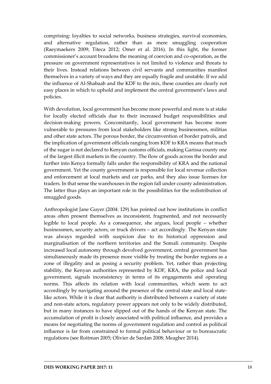comprising: loyalties to social networks, business strategies, survival economies, and alternative regulation, rather than as mere smuggling cooperation (Raeymaekers 2009; Titeca 2012; Omer et al. 2016). In this light, the former commissioner's account broadens the meaning of coercion and co-operation, as the pressure on government representatives is not limited to violence and threats to their lives. Instead relations between civil servants and communities manifest themselves in a variety of ways and they are equally fragile and unstable. If we add the influence of Al-Shabaab and the KDF to the mix, these counties are clearly not easy places in which to uphold and implement the central government's laws and policies.

With devolution, local government has become more powerful and more is at stake for locally elected officials due to their increased budget responsibilities and decision-making powers. Concomitantly, local government has become more vulnerable to pressures from local stakeholders like strong businessmen, militias and other state actors. The porous border, the circumvention of border patrols, and the implication of government officials ranging from KDF to KRA means that much of the sugar is not declared to Kenyan customs officials, making Garissa county one of the largest illicit markets in the country. The flow of goods across the border and further into Kenya formally falls under the responsibility of KRA and the national government. Yet the county government is responsible for local revenue collection and enforcement at local markets and car parks, and they also issue licenses for traders. In that sense the warehouses in the region fall under county administration. The latter thus plays an important role in the possibilities for the redistribution of smuggled goods.

Anthropologist Jane Guyer (2004: 129) has pointed out how institutions in conflict areas often present themselves as inconsistent, fragmented, and not necessarily legible to local people. As a consequence, she argues, local people – whether businessmen, security actors, or truck drivers – act accordingly. The Kenyan state was always regarded with suspicion due to its historical oppression and marginalisation of the northern territories and the Somali community. Despite increased local autonomy through devolved government, central government has simultaneously made its presence more visible by treating the border regions as a zone of illegality and as posing a security problem. Yet, rather than projecting stability, the Kenyan authorities represented by KDF, KRA, the police and local government, signals inconsistency in terms of its engagements and operating norms. This affects its relation with local communities, which seem to act accordingly by navigating around the presence of the central state and local statelike actors. While it is clear that authority is distributed between a variety of state and non-state actors, regulatory power appears not only to be widely distributed, but in many instances to have slipped out of the hands of the Kenyan state. The accumulation of profit is closely associated with political influence, and provides a means for negotiating the norms of government regulation and control as political influence is far from constrained to formal political behaviour or to bureaucratic regulations (see Roitman 2005; Olivier de Sardan 2008; Meagher 2014).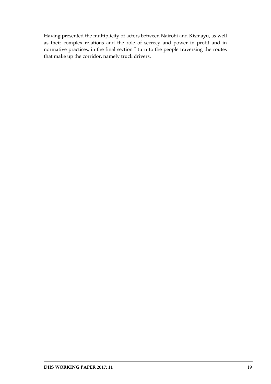Having presented the multiplicity of actors between Nairobi and Kismayu, as well as their complex relations and the role of secrecy and power in profit and in normative practices, in the final section I turn to the people traversing the routes that make up the corridor, namely truck drivers.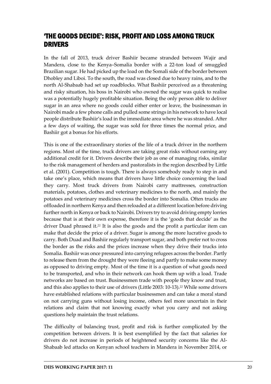## <span id="page-21-0"></span>'THE GOODS DECIDE': RISK, PROFIT AND LOSS AMONG TRUCK DRIVERS

In the fall of 2013, truck driver Bashiir became stranded between Wajir and Mandera, close to the Kenya–Somalia border with a 22-ton load of smuggled Brazilian sugar. He had picked up the load on the Somali side of the border between Dhobley and Liboi. To the south, the road was closed due to heavy rains, and to the north Al-Shabaab had set up roadblocks. What Bashiir perceived as a threatening and risky situation, his boss in Nairobi who owned the sugar was quick to realise was a potentially hugely profitable situation. Being the only person able to deliver sugar in an area where no goods could either enter or leave, the businessman in Nairobi made a few phone calls and pulled some strings in his network to have local people distribute Bashiir's load in the immediate area where he was stranded. After a few days of waiting, the sugar was sold for three times the normal price, and Bashiir got a bonus for his efforts.

This is one of the extraordinary stories of the life of a truck driver in the northern regions. Most of the time, truck drivers are taking great risks without earning any additional credit for it. Drivers describe their job as one of managing risks, similar to the risk management of herders and pastoralists in the region described by Little et al. (2001). Competition is tough. There is always somebody ready to step in and take one's place, which means that drivers have little choice concerning the load they carry. Most truck drivers from Nairobi carry mattresses, construction materials, potatoes, clothes and veterinary medicines to the north, and mainly the potatoes and veterinary medicines cross the border into Somalia. Often trucks are offloaded in northern Kenya and then reloaded at a different location before driving further north in Kenya or back to Nairobi. Drivers try to avoid driving empty lorries because that is at their own expense, therefore it is the 'goods that decide' as the driver Duad phrased it.*<sup>21</sup>* It is also the goods and the profit a particular item can make that decide the price of a driver. Sugar is among the more lucrative goods to carry. Both Duad and Bashiir regularly transport sugar, and both prefer not to cross the border as the risks and the prices increase when they drive their trucks into Somalia. Bashiir was once pressured into carrying refugees across the border. Partly to release them from the drought they were fleeing and partly to make some money as opposed to driving empty. Most of the time it is a question of what goods need to be transported, and who in their network can hook them up with a load. Trade networks are based on trust. Businessmen trade with people they know and trust, and this also applies to their use of drivers (Little 2003: 10-13).*<sup>22</sup>* While some drivers have established relations with particular businessmen and can take a moral stand on not carrying guns without losing income, others feel more uncertain in their relations and claim that not knowing exactly what you carry and not asking questions help maintain the trust relations.

The difficulty of balancing trust, profit and risk is further complicated by the competition between drivers. It is best exemplified by the fact that salaries for drivers do not increase in periods of heightened security concerns like the Al-Shabaab led attacks on Kenyan school teachers in Mandera in November 2014, or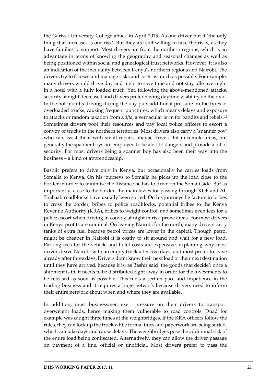the Garissa University College attack in April 2015. As one driver put it 'the only thing that increases is our risk'. But they are still willing to take the risks, as they have families to support. Most drivers are from the northern regions, which is an advantage in terms of knowing the geography and seasonal changes as well as being positioned within social and genealogical trust networks. However, it is also an indication of the inequality between Kenya's northern regions and Nairobi. The drivers try to foresee and manage risks and costs as much as possible. For example, many drivers would drive day and night to save time and not stay idle overnight in a hotel with a fully loaded truck. Yet, following the above-mentioned attacks, security at night decreased and drivers prefer having daytime visibility on the road. In the hot months driving during the day puts additional pressure on the tyres of overloaded trucks, causing frequent punctures, which means delays and exposure to attacks or random taxation from *shifta*, a vernacular term for bandits and rebels.*<sup>23</sup>* Sometimes drivers pool their resources and pay local police officers to escort a convoy of trucks in the northern territories. Most drivers also carry a 'spanner boy' who can assist them with small repairs, maybe drive a bit in remote areas, but generally the spanner boys are employed to be alert to dangers and provide a bit of security. For most drivers being a spanner boy has also been their way into the business – a kind of apprenticeship.

Bashiir prefers to drive only in Kenya, but occasionally he carries loads from Somalia to Kenya. On his journeys to Somalia he picks up the load close to the border in order to minimise the distance he has to drive on the Somali side. But as importantly, close to the border, the main levies for passing through KDF and Al-Shabaab roadblocks have usually been sorted. On his journeys he factors in bribes to cross the border, bribes to police roadblocks, potential bribes to the Kenya Revenue Authority (KRA), bribes to weight control, and sometimes even fees for a police escort when driving in convoy at night in risk-prone areas. For most drivers in Kenya profits are minimal. On leaving Nairobi for the north, many drivers carry tanks of extra fuel because petrol prices are lower in the capital. Though petrol might be cheaper in Nairobi it is costly to sit around and wait for a new load. Parking fees for the vehicle and hotel costs are expensive, explaining why most drivers leave Nairobi with an empty truck after five days, and most prefer to leave already after three days. Drivers don't know their next load or their next destination until they have arrived, because it is, as Bashir said 'the goods that decide': once a shipment is in, it needs to be distributed right away in order for the investments to be released as soon as possible. This fuels a certain pace and impatience in the trading business and it requires a huge network because drivers need to inform their entire network about when and where they are available.

In addition, most businessmen exert pressure on their drivers to transport overweight loads, hence making them vulnerable to road controls. Duad for example was caught three times at the weighbridges. If the KRA officers follow the rules, they can lock up the truck while formal fines and paperwork are being sorted, which can take days and cause delays. The weighbridges pose the additional risk of the entire load being confiscated. Alternatively, they can allow the driver passage on payment of a fine, official or unofficial. Most drivers prefer to pass the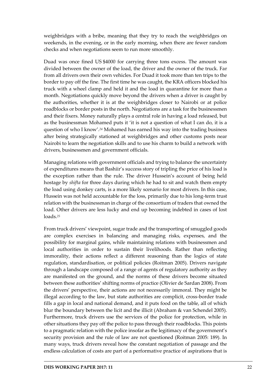weighbridges with a bribe, meaning that they try to reach the weighbridges on weekends, in the evening, or in the early morning, when there are fewer random checks and when negotiations seem to run more smoothly.

Duad was once fined US \$4000 for carrying three tons excess. The amount was divided between the owner of the load, the driver and the owner of the truck. Far from all drivers own their own vehicles. For Duad it took more than ten trips to the border to pay off the fine. The first time he was caught, the KRA officers blocked his truck with a wheel clamp and held it and the load in quarantine for more than a month. Negotiations quickly move beyond the drivers when a driver is caught by the authorities, whether it is at the weighbridges closer to Nairobi or at police roadblocks or border posts in the north. Negotiations are a task for the businessmen and their fixers. Money naturally plays a central role in having a load released, but as the businessman Mohamed puts it 'it is not a question of what I can do, it is a question of who I know'.*<sup>24</sup>* Mohamed has earned his way into the trading business after being strategically stationed at weighbridges and other customs posts near Nairobi to learn the negotiation skills and to use his charm to build a network with drivers, businessmen and government officials.

Managing relations with government officials and trying to balance the uncertainty of expenditures means that Bashiir's success story of tripling the price of his load is the exception rather than the rule. The driver Hussein's account of being held hostage by *shifta* for three days during which he had to sit and watch them empty the load using donkey carts, is a more likely scenario for most drivers. In this case, Hussein was not held accountable for the loss, primarily due to his long-term trust relation with the businessman in charge of the consortium of traders that owned the load. Other drivers are less lucky and end up becoming indebted in cases of lost loads.*<sup>25</sup>*

From truck drivers' viewpoint, sugar trade and the transporting of smuggled goods are complex exercises in balancing and managing risks, expenses, and the possibility for marginal gains, while maintaining relations with businessmen and local authorities in order to sustain their livelihoods. Rather than reflecting immorality, their actions reflect a different reasoning than the logics of state regulation, standardisation, or political policies (Roitman 2005). Drivers navigate through a landscape composed of a range of agents of regulatory authority as they are manifested on the ground, and the norms of these drivers become situated between these authorities' shifting norms of practice (Olivier de Sardan 2008). From the drivers' perspective, their actions are not necessarily immoral. They might be illegal according to the law, but state authorities are complicit, cross-border trade fills a gap in local and national demand, and it puts food on the table, all of which blur the boundary between the licit and the illicit (Abraham & van Schendel 2005). Furthermore, truck drivers use the services of the police for protection, while in other situations they pay off the police to pass through their roadblocks. This points to a pragmatic relation with the police insofar as the legitimacy of the government's security provision and the rule of law are not questioned (Roitman 2005: 189). In many ways, truck drivers reveal how the constant negotiation of passage and the endless calculation of costs are part of a performative practice of aspirations that is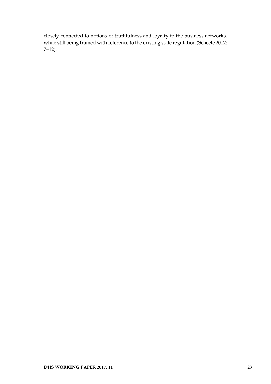closely connected to notions of truthfulness and loyalty to the business networks, while still being framed with reference to the existing state regulation (Scheele 2012: 7–12).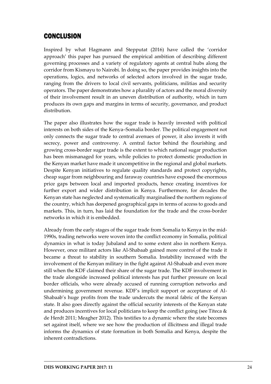# <span id="page-25-0"></span>CONCLUSION

Inspired by what Hagmann and Stepputat (2016) have called the 'corridor approach' this paper has pursued the empirical ambition of describing different governing processes and a variety of regulatory agents at central hubs along the corridor from Kismayu to Nairobi. In doing so, the paper provides insights into the operations, logics, and networks of selected actors involved in the sugar trade, ranging from the drivers to local civil servants, politicians, militias and security operators. The paper demonstrates how a plurality of actors and the moral diversity of their involvement result in an uneven distribution of authority, which in turn produces its own gaps and margins in terms of security, governance, and product distribution.

The paper also illustrates how the sugar trade is heavily invested with political interests on both sides of the Kenya–Somalia border. The political engagement not only connects the sugar trade to central avenues of power, it also invests it with secrecy, power and controversy. A central factor behind the flourishing and growing cross-border sugar trade is the extent to which national sugar production has been mismanaged for years, while policies to protect domestic production in the Kenyan market have made it uncompetitive in the regional and global markets. Despite Kenyan initiatives to regulate quality standards and protect copyrights, cheap sugar from neighbouring and faraway countries have exposed the enormous price gaps between local and imported products, hence creating incentives for further export and wider distribution in Kenya. Furthermore, for decades the Kenyan state has neglected and systematically marginalised the northern regions of the country, which has deepened geographical gaps in terms of access to goods and markets. This, in turn, has laid the foundation for the trade and the cross-border networks in which it is embedded.

Already from the early stages of the sugar trade from Somalia to Kenya in the mid-1990s, trading networks were woven into the conflict economy in Somalia, political dynamics in what is today Jubaland and to some extent also in northern Kenya. However, once militant actors like Al-Shabaab gained more control of the trade it became a threat to stability in southern Somalia. Instability increased with the involvement of the Kenyan military in the fight against Al-Shabaab and even more still when the KDF claimed their share of the sugar trade. The KDF involvement in the trade alongside increased political interests has put further pressure on local border officials, who were already accused of running corruption networks and undermining government revenue. KDF's implicit support or acceptance of Al-Shabaab's huge profits from the trade undercuts the moral fabric of the Kenyan state. It also goes directly against the official security interests of the Kenyan state and produces incentives for local politicians to keep the conflict going (see Titeca  $\&$ de Herdt 2011; Meagher 2012). This testifies to a dynamic where the state becomes set against itself, where we see how the production of illicitness and illegal trade informs the dynamics of state formation in both Somalia and Kenya, despite the inherent contradictions.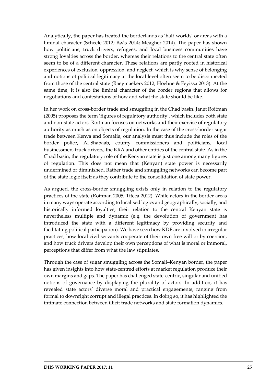Analytically, the paper has treated the borderlands as 'half-worlds' or areas with a liminal character (Scheele 2012; Bøås 2014; Meagher 2014). The paper has shown how politicians, truck drivers, refugees, and local business communities have strong loyalties across the border, whereas their relations to the central state often seem to be of a different character. These relations are partly rooted in historical experiences of exclusion, oppression, and neglect, which is why sense of belonging and notions of political legitimacy at the local level often seem to be disconnected from those of the central state (Raeymaekers 2012; Hoehne & Feyissa 2013). At the same time, it is also the liminal character of the border regions that allows for negotiations and contestations of how and what the state should be like.

In her work on cross-border trade and smuggling in the Chad basin, Janet Roitman (2005) proposes the term 'figures of regulatory authority', which includes both state and non-state actors. Roitman focuses on networks and their exercise of regulatory authority as much as on objects of regulation. In the case of the cross-border sugar trade between Kenya and Somalia, our analysis must thus include the roles of the border police, Al-Shabaab, county commissioners and politicians, local businessmen, truck drivers, the KRA and other entities of the central state. As in the Chad basin, the regulatory role of the Kenyan state is just one among many figures of regulation. This does not mean that (Kenyan) state power is necessarily undermined or diminished. Rather trade and smuggling networks can become part of the state logic itself as they contribute to the consolidation of state power.

As argued, the cross-border smuggling exists only in relation to the regulatory practices of the state (Roitman 2005; Titeca 2012). While actors in the border areas in many ways operate according to localised logics and geographically, socially, and historically informed loyalties, their relation to the central Kenyan state is nevertheless multiple and dynamic (e.g. the devolution of government has introduced the state with a different legitimacy by providing security and facilitating political participation). We have seen how KDF are involved in irregular practices, how local civil servants cooperate of their own free will or by coercion, and how truck drivers develop their own perceptions of what is moral or immoral, perceptions that differ from what the law stipulates.

Through the case of sugar smuggling across the Somali–Kenyan border, the paper has given insights into how state-centred efforts at market regulation produce their own margins and gaps. The paper has challenged state-centric, singular and unified notions of governance by displaying the plurality of actors. In addition, it has revealed state actors' diverse moral and practical engagements, ranging from formal to downright corrupt and illegal practices. In doing so, it has highlighted the intimate connection between illicit trade networks and state formation dynamics.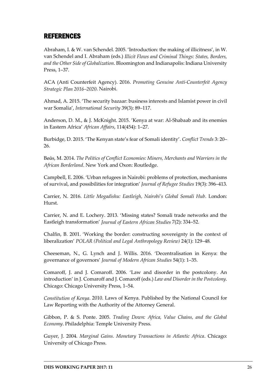### <span id="page-27-0"></span>REFERENCES

Abraham, I. & W. van Schendel. 2005. 'Introduction: the making of illicitness', in W. van Schendel and I. Abraham (eds.) *Illicit Flows and Criminal Things: States, Borders, and the Other Side of Globalization*. Bloomington and Indianapolis: Indiana University Press, 1–37.

ACA (Anti Counterfeit Agency). 2016. *Promoting Genuine Anti-Counterfeit Agency Strategic Plan 2016–2020*. Nairobi.

Ahmad, A. 2015. 'The security bazaar: business interests and Islamist power in civil war Somalia', *International Security* 39(3): 89–117.

Anderson, D. M., & J. McKnight. 2015. 'Kenya at war: Al-Shabaab and its enemies in Eastern Africa' *African Affairs*, 114(454): 1–27.

Burbidge, D. 2015. 'The Kenyan state's fear of Somali identity'. *Conflict Trends* 3: 20– 26.

Bøås, M. 2014. *The Politics of Conflict Economies: Miners, Merchants and Warriors in the African Borderland*. New York and Oxon: Routledge.

Campbell, E. 2006. 'Urban refugees in Nairobi: problems of protection, mechanisms of survival, and possibilities for integration' *Journal of Refugee Studies* 19(3): 396–413.

Carrier, N. 2016. *Little Mogadishu: Eastleigh, Nairobi's Global Somali Hub*. London: Hurst.

Carrier, N. and E. Lochery. 2013. 'Missing states? Somali trade networks and the Eastleigh transformation' *Journal of Eastern African Studies* 7(2): 334–52.

Chalfin, B. 2001. 'Working the border: constructing sovereignty in the context of liberalization' *POLAR (Political and Legal Anthropology Review)* 24(1): 129–48.

Cheeseman, N., G. Lynch and J. Willis. 2016. 'Decentralisation in Kenya: the governance of governors' *Journal of Modern African Studies* 54(1): 1–35.

Comaroff, J. and J. Comaroff. 2006. 'Law and disorder in the postcolony. An introduction' in J. Comaroff and J. Comaroff (eds.) *Law and Disorder in the Postcolony*. Chicago: Chicago University Press, 1–54.

*Constitution of Kenya*. 2010. Laws of Kenya. Published by the National Council for Law Reporting with the Authority of the Attorney General.

Gibbon, P. & S. Ponte. 2005. *Trading Down: Africa, Value Chains, and the Global Economy*. Philadelphia: Temple University Press.

Guyer, J. 2004. *Marginal Gains. Monetary Transactions in Atlantic Africa*. Chicago: University of Chicago Press.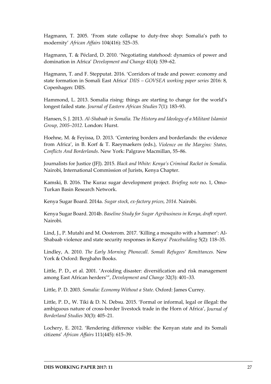Hagmann, T. 2005. 'From state collapse to duty-free shop: Somalia's path to modernity' *African Affairs* 104(416): 525–35.

Hagmann, T. & Péclard, D. 2010. 'Negotiating statehood: dynamics of power and domination in Africa' *Development and Change* 41(4): 539–62.

Hagmann, T. and F. Stepputat. 2016. 'Corridors of trade and power: economy and state formation in Somali East Africa' *DIIS – GOVSEA working paper series* 2016: 8, Copenhagen: DIIS.

Hammond, L. 2013. Somalia rising: things are starting to change for the world's longest failed state. *Journal of Eastern African Studies* 7(1): 183–93.

Hansen, S. J. 2013. *Al-Shabaab in Somalia. The History and Ideology of a Militant Islamist Group, 2005–2012*. London: Hurst.

Hoehne, M. & Feyissa, D. 2013. 'Centering borders and borderlands: the evidence from Africa', in B. Korf & T. Raeymaekers (eds.), *Violence on the Margins: States, Conflicts And Borderlands*. New York: Palgrave Macmillan, 55–86.

Journalists for Justice (JFJ). 2015. *Black and White: Kenya's Criminal Racket in Somalia*. Nairobi, International Commission of Jurists, Kenya Chapter.

Kamski, B. 2016. The Kuraz sugar development project. *Briefing note* no. 1, Omo-Turkan Basin Research Network.

Kenya Sugar Board. 2014a. *Sugar stock, ex-factory prices, 2014*. Nairobi.

Kenya Sugar Board. 2014b. *Baseline Study for Sugar Agribusiness in Kenya, draft report*. Nairobi.

Lind, J., P. Mutahi and M. Oosterom. 2017. 'Killing a mosquito with a hammer': Al-Shabaab violence and state security responses in Kenya' *Peacebuilding* 5(2): 118–35.

Lindley, A. 2010. *The Early Morning Phonecall. Somali Refugees' Remittances.* New York & Oxford: Berghahn Books.

Little, P. D., et al. 2001. 'Avoiding disaster: diversification and risk management among East African herders'", *Development and Change* 32(3): 401–33.

Little, P. D. 2003. *Somalia: Economy Without a State*. Oxford: James Currey.

Little, P. D., W. Tiki & D. N. Debsu. 2015. 'Formal or informal, legal or illegal: the ambiguous nature of cross-border livestock trade in the Horn of Africa', *Journal of Borderland Studies* 30(3): 405–21.

Lochery, E. 2012. 'Rendering difference visible: the Kenyan state and its Somali citizens' *African Affairs* 111(445): 615–39.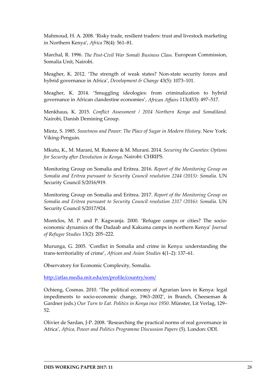Mahmoud, H. A. 2008. 'Risky trade, resilient traders: trust and livestock marketing in Northern Kenya', *Africa* 78(4): 561–81.

Marchal, R. 1996. *The Post-Civil War Somali Business Class.* European Commission, Somalia Unit, Nairobi.

Meagher, K. 2012. 'The strength of weak states? Non-state security forces and hybrid governance in Africa', *Development & Change* 43(5): 1073–101.

Meagher, K. 2014. 'Smuggling ideologies: from criminalization to hybrid governance in African clandestine economies', *African Affairs* 113(453): 497–517.

Menkhaus, K. 2015. *Conflict Assessment / 2014 Northern Kenya and Somaliland.* Nairobi, Danish Demining Group.

Mintz, S. 1985. *Sweetness and Power: The Place of Sugar in Modern History*. New York: Viking-Penguin.

Mkutu, K., M. Marani, M. Ruteere & M. Murani. 2014. *Securing the Counties: Options for Security after Devolution in Kenya*. Nairobi: CHRIPS.

Monitoring Group on Somalia and Eritrea. 2016. *Report of the Monitoring Group on Somalia and Eritrea pursuant to Security Council resolution 2244 (2015): Somalia.* UN Security Council S/2016/919.

Monitoring Group on Somalia and Eritrea. 2017. *Report of the Monitoring Group on Somalia and Eritrea pursuant to Security Council resolution 2317 (2016): Somalia.* UN Security Council S/2017/924.

Montclos, M. P. and P. Kagwanja. 2000. 'Refugee camps or cities? The socioeconomic dynamics of the Dadaab and Kakuma camps in northern Kenya' *Journal of Refugee Studies* 13(2): 205–222.

Murunga, G. 2005. 'Conflict in Somalia and crime in Kenya: understanding the trans-territoriality of crime', *African and Asian Studies* 4(1–2): 137–61.

Observatory for Economic Complexity, Somalia.

<http://atlas.media.mit.edu/en/profile/country/som/>

Ochieng, Cosmas. 2010. 'The political economy of Agrarian laws in Kenya: legal impediments to socio-economic change, 1963–2002', in Branch, Cheeseman & Gardner (eds.) *Our Turn to Eat. Politics in Kenya ince 1950*. Münster, Lit Verlag, 129– 52.

Olivier de Sardan, J-P. 2008. 'Researching the practical norms of real governance in Africa', *Africa, Power and Politics Programme Discussion Papers* (5). London: ODI.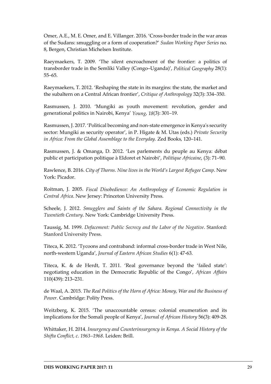Omer, A.E., M. E. Omer, and E. Villanger. 2016. 'Cross-border trade in the war areas of the Sudans: smuggling or a form of cooperation?' *Sudan Working Paper Series* no. 8, Bergen, Christian Michelsen Institute.

Raeymaekers, T. 2009. 'The silent encroachment of the frontier: a politics of transborder trade in the Semliki Valley (Congo–Uganda)', *Political Geography* 28(1): 55–65.

Raeymaekers, T. 2012. 'Reshaping the state in its margins: the state, the market and the subaltern on a Central African frontier', *Critique of Anthropology* 32(3): 334–350.

Rasmussen, J. 2010. 'Mungiki as youth movement: revolution, gender and generational politics in Nairobi, Kenya' *Young*, *18*(3): 301–19.

Rasmussen, J. 2017. 'Political becoming and non-state emergence in Kenya's security sector: Mungiki as security operator', in P. Higate & M. Utas (eds.) *Private Security in Africa: From the Global Assemblage to the Everyday.* Zed Books, 120–141.

Rasmussen, J. & Omanga, D. 2012. 'Les parlements du peuple au Kenya: débat public et participation politique à Eldoret et Nairobi', *Politique Africaine*, (3): 71–90.

Rawlence, B. 2016. *City of Thorns. Nine lives in the World's Largest Refugee Camp*. New York: Picador.

Roitman, J. 2005. *Fiscal Disobedience: An Anthropology of Economic Regulation in Central Africa*. New Jersey: Princeton University Press.

Scheele, J. 2012. *Smugglers and Saints of the Sahara. Regional Connectivity in the Twentieth Century*. New York: Cambridge University Press.

Taussig, M. 1999. *Defacement: Public Secrecy and the Labor of the Negative*. Stanford: Stanford University Press.

Titeca, K. 2012. 'Tycoons and contraband: informal cross-border trade in West Nile, north-western Uganda', *Journal of Eastern African Studies* 6(1): 47-63.

Titeca, K. & de Herdt, T. 2011. 'Real governance beyond the 'failed state': negotiating education in the Democratic Republic of the Congo', *African Affairs* 110(439): 213–231.

de Waal, A. 2015. *The Real Politics of the Horn of Africa: Money, War and the Business of Power*. Cambridge: Polity Press.

Weitzberg, K. 2015. 'The unaccountable census: colonial enumeration and its implications for the Somali people of Kenya', *Journal of African History* 56(3): 409-28.

Whittaker, H. 2014. *Insurgency and Counterinsurgency in Kenya. A Social History of the Shifta Conflict, c. 1963–1968*. Leiden: Brill.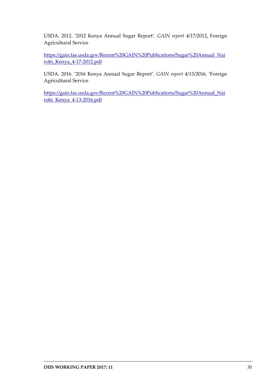USDA. 2012. '2012 Kenya Annual Sugar Report'*. GAIN report* 4/17/2012, Foreign Agricultural Service

[https://gain.fas.usda.gov/Recent%20GAIN%20Publications/Sugar%20Annual\\_Nai](https://gain.fas.usda.gov/Recent%20GAIN%20Publications/Sugar%20Annual_Nairobi_Kenya_4-17-2012.pdf) [robi\\_Kenya\\_4-17-2012.pdf](https://gain.fas.usda.gov/Recent%20GAIN%20Publications/Sugar%20Annual_Nairobi_Kenya_4-17-2012.pdf)

USDA. 2016. '2016 Kenya Annual Sugar Report'*. GAIN report* 4/13/2016, 'Foreign Agricultural Service

[https://gain.fas.usda.gov/Recent%20GAIN%20Publications/Sugar%20Annual\\_Nai](https://gain.fas.usda.gov/Recent%20GAIN%20Publications/Sugar%20Annual_Nairobi_Kenya_4-13-2016.pdf) [robi\\_Kenya\\_4-13-2016.pdf](https://gain.fas.usda.gov/Recent%20GAIN%20Publications/Sugar%20Annual_Nairobi_Kenya_4-13-2016.pdf)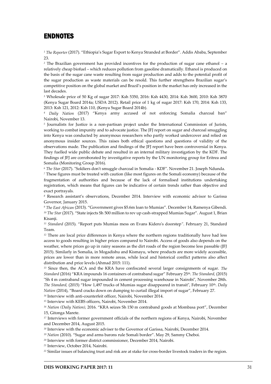#### <span id="page-32-0"></span>ENDNOTES

*<sup>1</sup> The Reporter* (2017). "Ethiopia's Sugar Export to Kenya Stranded at Border". Addis Ababa, September 23.

*<sup>2</sup>* The Brazilian government has provided incentives for the production of sugar cane ethanol – a relatively cheap biofuel – which reduces pollution from gasoline dramatically. Ethanol is produced on the basis of the sugar cane waste resulting from sugar production and adds to the potential profit of the sugar production as waste materials can be resold. This further strengthens Brazilian sugar's competitive position on the global market and Brazil's position in the market has only increased in the last decades.

*<sup>3</sup>* Wholesale price of 50 Kg of sugar 2017: Ksh 5350, 2016: Ksh 4430, 2014: Ksh 3600, 2010: Ksh 3870 (Kenya Sugar Board 2014a; USDA 2012). Retail price of 1 kg of sugar 2017: Ksh 170, 2014: Ksh 133, 2013: Ksh 121, 2012: Ksh 110, (Kenya Sugar Board 2014b).

*<sup>4</sup> Daily Nation* (2017) "Kenya army accused of not enforcing Somalia charcoal ban" Nairobi, November 13.

*5* Journalists for Justice is a non-partisan project under the International Commission of Jurists, working to combat impunity and to advocate justice. The JFJ report on sugar and charcoal smuggling into Kenya was conducted by anonymous researchers who partly worked undercover and relied on anonymous insider sources. This raises both ethical questions and questions of validity of the observations made. The publication and findings of the JFJ report have been controversial in Kenya. They fuelled wide public debate and resulted in an internal military investigation by the KDF. The findings of JFJ are corroborated by investigative reports by the UN monitoring group for Eritrea and Somalia (Monitoring Group 2016).

*<sup>6</sup> The Star* (2017). "Soldiers don't smuggle charcoal in Somalia - KDF". November 21. Joseph Ndunda.

*<sup>7</sup>* These figures must be treated with caution (like most figures on the Somali economy) because of the fragmentation of authorities and because of the lack of formalised institutions undertaking registration, which means that figures can be indicative of certain trends rather than objective and exact portrayals.

*<sup>8</sup>* Research assistant's observations, December 2014. Interview with economic advisor to Garissa Governor, January 2015.

*<sup>9</sup> The East African* (2013). "Government gives \$5.6m loan to Mumias". December 14, Ramenya Gibendi. *<sup>10</sup> The Star* (2017). "State injects Sh 500 million to rev up cash-strapped Mumias Sugar". August 1, Brian Kisanii.

*<sup>11</sup> Standard* (2015). "Report puts Mumias mess on Evans Kidero's doorstep*"*. February 21, Standard Team.

*<sup>12</sup>* There are local price differences in Kenya where the northern regions traditionally have had less access to goods resulting in higher prices compared to Nairobi. Access of goods also depends on the weather, where prices go up in rainy seasons as the dirt roads of the region become less passable (JFJ 2015). Similarly in Somalia, in Mogadishu and Kismayu, where products are more widely accessible, prices are lower than in more remote areas, while local and historical conflict patterns also affect distribution and price levels (Ahmad 2015: 111).

*<sup>13</sup>* Since then, the ACA and the KRA have confiscated several larger consignments of sugar. *The Standard* (2016) "KRA impounds 16 containers of contraband sugar" February 25th. *The Standard,* (2015) "Sh 4 m contraband sugar impounded in cement processing warehouse in Nairobi", November 28th. *The Standard,* (2015) "How 1,497 trucks of Mumias sugar disappeared in transit", February 10<sup>th</sup>. *Daily Nation* (2014), "Board cracks down on dumping to curtail illegal import of sugar", February 27.

*<sup>14</sup>* Interview with anti-counterfeit officer, Nairobi, November 2014.

*<sup>15</sup>* Interview with KEBS officers, Nairobi, November 2014.

*<sup>16</sup> Nation (Daily Nation),* 2016. "KRA seizes Sh 150 m contraband goods at Mombasa port", December 15, Gitonga Marete.

*<sup>17</sup>* Interviews with former government officials of the northern regions of Kenya, Nairobi, November and December 2014, August 2015.

<sup>18</sup> Interview with the economic adviser to the Governor of Garissa, Nairobi, December 2014.

*<sup>19</sup> Nation* (2010). "Sugar and arms barons rule Somali border". May 29, Sammy Cheboi.

*<sup>20</sup>* Interview with former district commissioner, December 2014, Nairobi.

*<sup>21</sup>* Interview, October 2014, Nairobi.

*<sup>22</sup>* Similar issues of balancing trust and risk are at stake for cross-border livestock traders in the region.